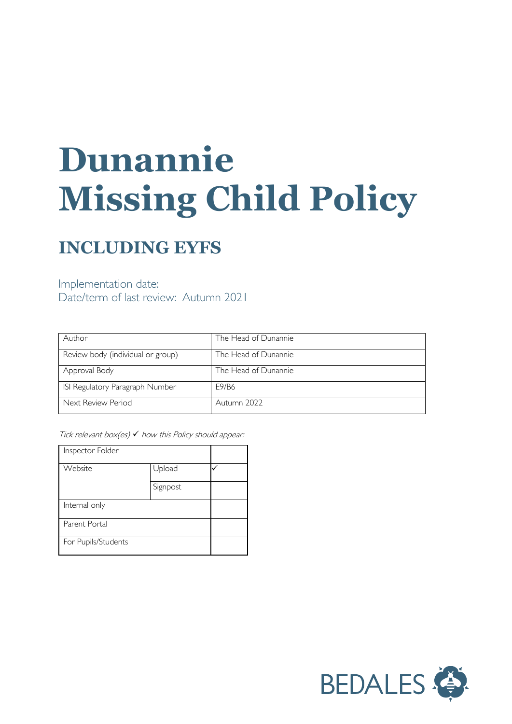# **Dunannie Missing Child Policy**

# **INCLUDING EYFS**

Implementation date: Date/term of last review: Autumn 2021

| Author                            | The Head of Dunannie |
|-----------------------------------|----------------------|
| Review body (individual or group) | The Head of Dunannie |
| Approval Body                     | The Head of Dunannie |
| ISI Regulatory Paragraph Number   | E9/B6                |
| Next Review Period                | Autumn 2022          |

Tick relevant box(es)  $\checkmark$  how this Policy should appear:

| Inspector Folder    |          |  |
|---------------------|----------|--|
| Website             | Upload   |  |
|                     | Signpost |  |
| Internal only       |          |  |
| Parent Portal       |          |  |
| For Pupils/Students |          |  |

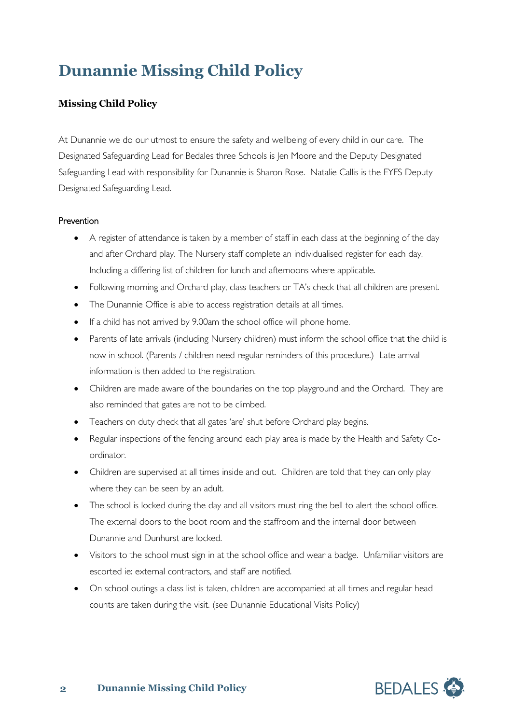# **Dunannie Missing Child Policy**

## **Missing Child Policy**

At Dunannie we do our utmost to ensure the safety and wellbeing of every child in our care. The Designated Safeguarding Lead for Bedales three Schools is Jen Moore and the Deputy Designated Safeguarding Lead with responsibility for Dunannie is Sharon Rose. Natalie Callis is the EYFS Deputy Designated Safeguarding Lead.

## **Prevention**

- A register of attendance is taken by a member of staff in each class at the beginning of the day and after Orchard play. The Nursery staff complete an individualised register for each day. Including a differing list of children for lunch and afternoons where applicable.
- Following morning and Orchard play, class teachers or TA's check that all children are present.
- The Dunannie Office is able to access registration details at all times.
- If a child has not arrived by 9.00am the school office will phone home.
- Parents of late arrivals (including Nursery children) must inform the school office that the child is now in school. (Parents / children need regular reminders of this procedure.) Late arrival information is then added to the registration.
- Children are made aware of the boundaries on the top playground and the Orchard. They are also reminded that gates are not to be climbed.
- Teachers on duty check that all gates 'are' shut before Orchard play begins.
- Regular inspections of the fencing around each play area is made by the Health and Safety Coordinator.
- Children are supervised at all times inside and out. Children are told that they can only play where they can be seen by an adult.
- The school is locked during the day and all visitors must ring the bell to alert the school office. The external doors to the boot room and the staffroom and the internal door between Dunannie and Dunhurst are locked.
- Visitors to the school must sign in at the school office and wear a badge. Unfamiliar visitors are escorted ie: external contractors, and staff are notified.
- On school outings a class list is taken, children are accompanied at all times and regular head counts are taken during the visit. (see Dunannie Educational Visits Policy)